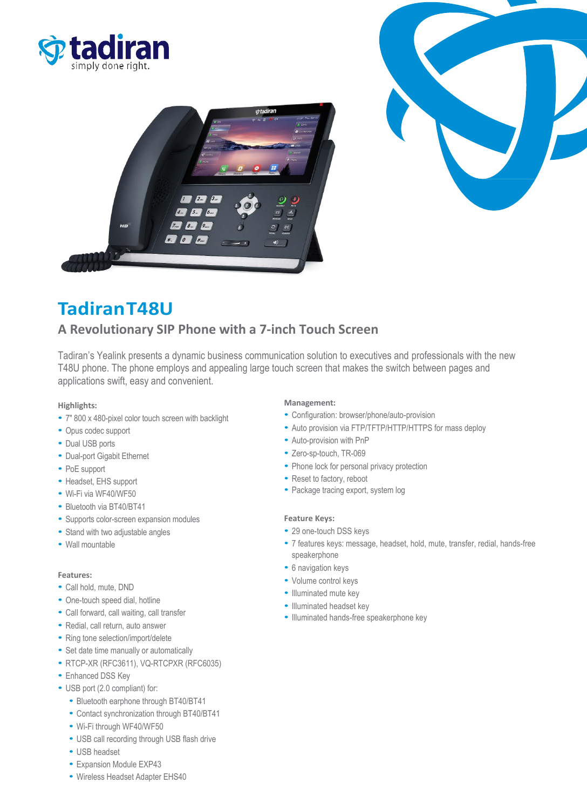





# **TadiranT48U**

# **A Revolutionary SIP Phone with a 7-inch Touch Screen**

Tadiran's Yealink presents a dynamic business communication solution to executives and professionals with the new T48U phone. The phone employs and appealing large touch screen that makes the switch between pages and applications swift, easy and convenient.

### **Highlights:**

- 7" 800 x 480-pixel color touch screen with backlight
- Opus codec support
- Dual USB ports
- Dual-port Gigabit Ethernet
- PoE support
- Headset, EHS support
- Wi-Fi via WF40/WF50
- Bluetooth via BT40/BT41
- Supports color-screen expansion modules
- Stand with two adjustable angles
- Wall mountable

# **Features:**

- Call hold, mute, DND
- One-touch speed dial, hotline
- Call forward, call waiting, call transfer
- Redial, call return, auto answer
- Ring tone selection/import/delete
- Set date time manually or automatically
- RTCP-XR (RFC3611), VQ-RTCPXR (RFC6035)
- Enhanced DSS Key
- USB port (2.0 compliant) for:
	- Bluetooth earphone through BT40/BT41
	- Contact synchronization through BT40/BT41
	- Wi-Fi through WF40/WF50
	- USB call recording through USB flash drive
	- USB headset
	- Expansion Module EXP43
	- Wireless Headset Adapter EHS40

# **Management:**

- Configuration: browser/phone/auto-provision
- Auto provision via FTP/TFTP/HTTP/HTTPS for mass deploy
- Auto-provision with PnP
- Zero-sp-touch, TR-069
- Phone lock for personal privacy protection
- Reset to factory, reboot
- Package tracing export, system log

### **Feature Keys:**

- 29 one-touch DSS keys
- 7 features keys: message, headset, hold, mute, transfer, redial, hands-free speakerphone
- 6 navigation keys
- Volume control keys
- Illuminated mute key
- Illuminated headset key
- Illuminated hands-free speakerphone key